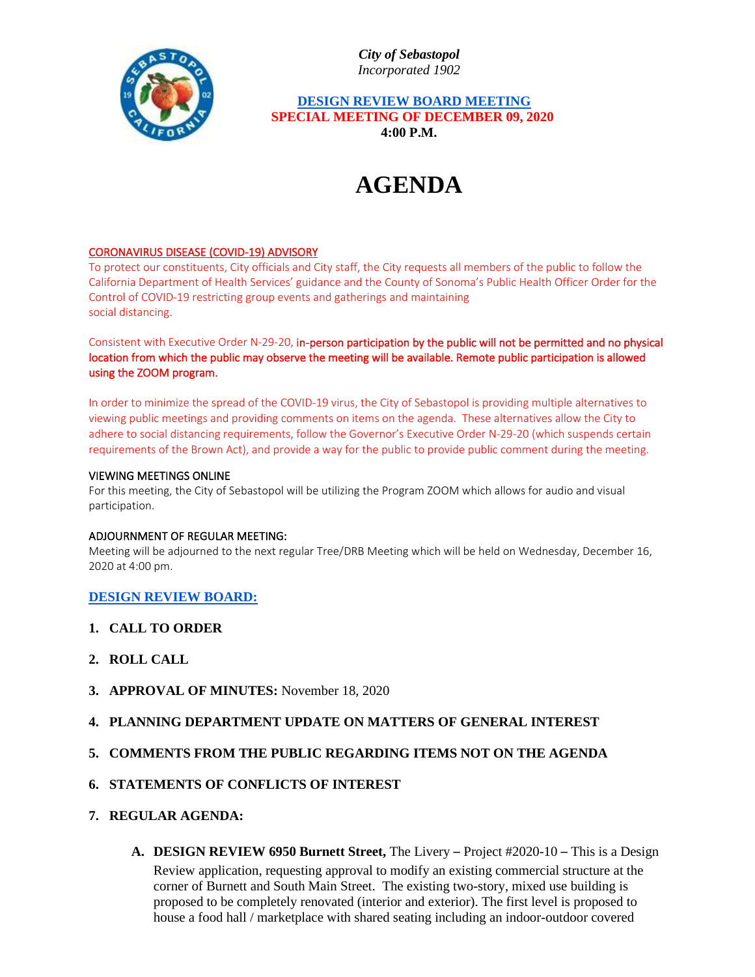*City of Sebastopol Incorporated 1902*



 **DESIGN REVIEW BOARD MEETING SPECIAL MEETING OF DECEMBER 09, 2020 4:00 P.M.**

# **AGENDA**

# CORONAVIRUS DISEASE (COVID-19) ADVISORY

To protect our constituents, City officials and City staff, the City requests all members of the public to follow the California Department of Health Services' guidance and the County of Sonoma's Public Health Officer Order for the Control of COVID-19 restricting group events and gatherings and maintaining social distancing.

Consistent with Executive Order N-29-20, in-person participation by the public will not be permitted and no physical location from which the public may observe the meeting will be available. Remote public participation is allowed using the ZOOM program.

In order to minimize the spread of the COVID-19 virus, the City of Sebastopol is providing multiple alternatives to viewing public meetings and providing comments on items on the agenda. These alternatives allow the City to adhere to social distancing requirements, follow the Governor's Executive Order N-29-20 (which suspends certain requirements of the Brown Act), and provide a way for the public to provide public comment during the meeting.

#### VIEWING MEETINGS ONLINE

For this meeting, the City of Sebastopol will be utilizing the Program ZOOM which allows for audio and visual participation.

#### ADJOURNMENT OF REGULAR MEETING:

Meeting will be adjourned to the next regular Tree/DRB Meeting which will be held on Wednesday, December 16, 2020 at 4:00 pm.

#### **DESIGN REVIEW BOARD:**

- **1. CALL TO ORDER**
- **2. ROLL CALL**
- **3. APPROVAL OF MINUTES:** November 18, 2020

## **4. PLANNING DEPARTMENT UPDATE ON MATTERS OF GENERAL INTEREST**

**5. COMMENTS FROM THE PUBLIC REGARDING ITEMS NOT ON THE AGENDA**

# **6. STATEMENTS OF CONFLICTS OF INTEREST**

- **7. REGULAR AGENDA:**
	- **A. DESIGN REVIEW 6950 Burnett Street,** The Livery Project #2020-10 This is a Design

Review application, requesting approval to modify an existing commercial structure at the corner of Burnett and South Main Street. The existing two-story, mixed use building is proposed to be completely renovated (interior and exterior). The first level is proposed to house a food hall / marketplace with shared seating including an indoor-outdoor covered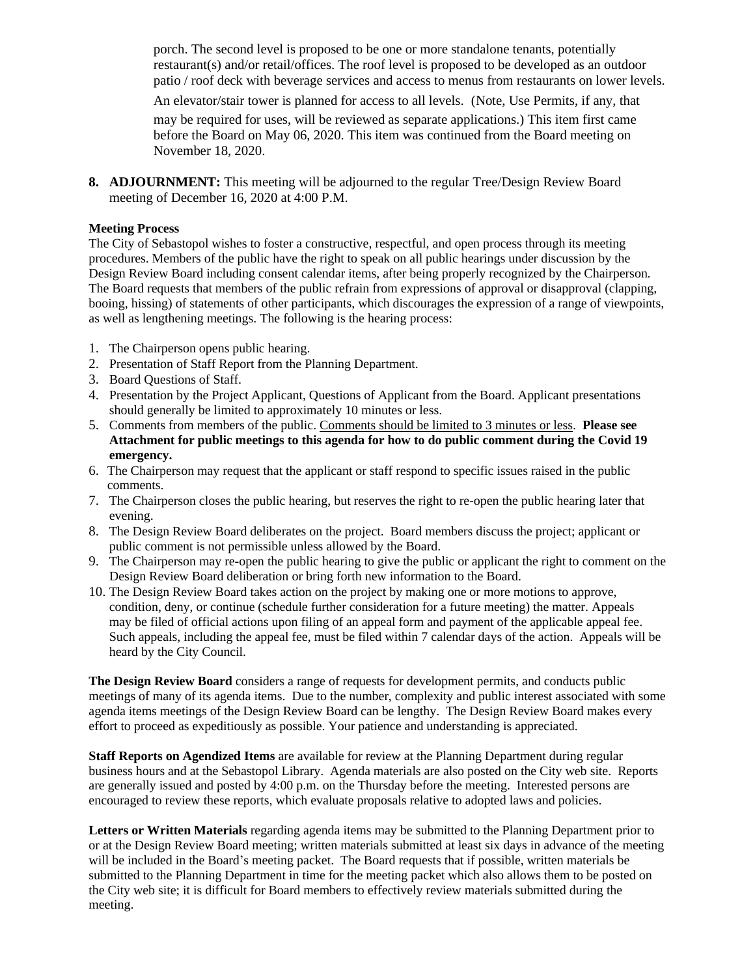porch. The second level is proposed to be one or more standalone tenants, potentially restaurant(s) and/or retail/offices. The roof level is proposed to be developed as an outdoor patio / roof deck with beverage services and access to menus from restaurants on lower levels.

An elevator/stair tower is planned for access to all levels. (Note, Use Permits, if any, that

may be required for uses, will be reviewed as separate applications.) This item first came before the Board on May 06, 2020. This item was continued from the Board meeting on November 18, 2020.

**8. ADJOURNMENT:** This meeting will be adjourned to the regular Tree/Design Review Board meeting of December 16, 2020 at 4:00 P.M.

# **Meeting Process**

The City of Sebastopol wishes to foster a constructive, respectful, and open process through its meeting procedures. Members of the public have the right to speak on all public hearings under discussion by the Design Review Board including consent calendar items, after being properly recognized by the Chairperson. The Board requests that members of the public refrain from expressions of approval or disapproval (clapping, booing, hissing) of statements of other participants, which discourages the expression of a range of viewpoints, as well as lengthening meetings. The following is the hearing process:

- 1. The Chairperson opens public hearing.
- 2. Presentation of Staff Report from the Planning Department.
- 3. Board Questions of Staff.
- 4. Presentation by the Project Applicant, Questions of Applicant from the Board. Applicant presentations should generally be limited to approximately 10 minutes or less.
- 5. Comments from members of the public. Comments should be limited to 3 minutes or less. **Please see Attachment for public meetings to this agenda for how to do public comment during the Covid 19 emergency.**
- 6. The Chairperson may request that the applicant or staff respond to specific issues raised in the public comments.
- 7. The Chairperson closes the public hearing, but reserves the right to re-open the public hearing later that evening.
- 8. The Design Review Board deliberates on the project. Board members discuss the project; applicant or public comment is not permissible unless allowed by the Board.
- 9. The Chairperson may re-open the public hearing to give the public or applicant the right to comment on the Design Review Board deliberation or bring forth new information to the Board.
- 10. The Design Review Board takes action on the project by making one or more motions to approve, condition, deny, or continue (schedule further consideration for a future meeting) the matter. Appeals may be filed of official actions upon filing of an appeal form and payment of the applicable appeal fee. Such appeals, including the appeal fee, must be filed within 7 calendar days of the action. Appeals will be heard by the City Council.

**The Design Review Board** considers a range of requests for development permits, and conducts public meetings of many of its agenda items. Due to the number, complexity and public interest associated with some agenda items meetings of the Design Review Board can be lengthy. The Design Review Board makes every effort to proceed as expeditiously as possible. Your patience and understanding is appreciated.

**Staff Reports on Agendized Items** are available for review at the Planning Department during regular business hours and at the Sebastopol Library. Agenda materials are also posted on the City web site. Reports are generally issued and posted by 4:00 p.m. on the Thursday before the meeting. Interested persons are encouraged to review these reports, which evaluate proposals relative to adopted laws and policies.

**Letters or Written Materials** regarding agenda items may be submitted to the Planning Department prior to or at the Design Review Board meeting; written materials submitted at least six days in advance of the meeting will be included in the Board's meeting packet. The Board requests that if possible, written materials be submitted to the Planning Department in time for the meeting packet which also allows them to be posted on the City web site; it is difficult for Board members to effectively review materials submitted during the meeting.